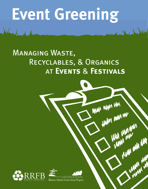## **Event Greening**

### Managing Waste, Recyclables, & Organics at **Events** & **Festivals**

WWW WWW WM

thyw way my

**IN** 

**MA WA WA WA**<br>MA WA WA WA





Bluenose Atlantic Coastal Action Program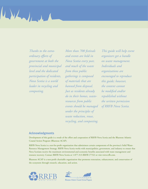

*Thanks to the extraordinary efforts of government at both the provincial and municipal level and the dedicated participation of residents, Nova Scotia is a world leader in recycling and composting.*

*More than 700 festivals and events are held in Nova Scotia every year, and much of the waste from these public gatherings is composed of materials that are banned from disposal. Just as residents already do in their homes, wasteresources from public events should be managed under the principles of waste reduction, reuse, recycling, and composting.* 

*This guide will help event organizers get a handle on waste management. Individuals and organizations are encouraged to reproduce this guide; however, the content cannot be modified and/or republished without the written permission of RRFB Nova Scotia.*

#### **Acknowledgments**

Development of this guide is a result of the effort and cooperation of RRFB Nova Scotia and the Bluenose Atlantic Coastal Action Program (Bluenose ACAP).

RRFB Nova Scotia is a not-for-profit organization that administers certain components of the province's Solid Waste-Resource Management Strategy. RRFB Nova Scotia works with municipalities, government, and industry to ensure that Nova Scotians receive the maximum environmental and economic benefits associated with waste management and resource recovery. Contact RRFB Nova Scotia at 1-877-313-RRFB (7732) or visit www.rrfb.com.

Bluenose ACAP is a non-profit charitable organization that promotes restoration, enhancement, and conservation of the ecosystem through research, education, and action.



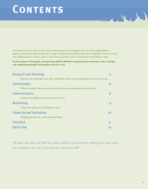### **CONTENTS**

Nova Scotia is proud to host a wide variety of festivals and events throughout the year, from neighbourhood suppers at community halls and churches to larger celebrations for residents and tourists. Regardless of the size of your event, following these 5 steps to "green" your event can provide a better environment for the public to enjoy.

**For the purpose of this guide, event greening shall be defined as integrating waste reduction, reuse, recycling, and composting principles and programs into the event.**

| <b>Research and Planning</b>                                                                      | 2  |
|---------------------------------------------------------------------------------------------------|----|
| Identify your stakeholders and collect information about waste management practices in your area. |    |
| <b>Partnerships</b>                                                                               | 6  |
| What to consider when contracting vendors and waste management service providers.                 |    |
| <b>Communication</b>                                                                              | 8  |
| Promote and publicize the greening of your event.                                                 |    |
| <b>Monitoring</b>                                                                                 |    |
| Things you will need to do during the event.                                                      |    |
| <b>Clean-Up and Evaluation</b>                                                                    | 10 |
| Wrapping up after the crowds have gone home.                                                      |    |
| <b>Checklist</b>                                                                                  | 11 |
| <b>Quick Tips</b>                                                                                 | 12 |

*We hope that you will find this guide useful as you work on making your own event an example to the rest of the province and the world!*

acity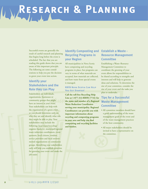# **Research & Planning**

Successful events are generally the result of careful research and planning that begins long before the event is scheduled. The fact that you are reading this guide shows that you are aware of this important principle. The following are some considerations to help you put the decision to green your event into action.

#### **Identify your Stakeholders and the Role they can Play**

Stakeholders are individuals, organizations, businesses or community groups that might have an interest in your event. Your stakeholders can help with the organization of a green event, so you should determine early on who they are and identify what role they might be able to play. Your stakeholders may include the following: local waste/recycling/ organics hauler(s), municipal/regional waste reduction coordinators, event sponsors, local citizens, vendors, service providers and local environmental organizations or community groups. Identifying your stakeholders early will help you establish priorities for greening your event and make the job easier.

#### **Identify Composting and Establish a Waste - Recycling Programs in your Region**

All municipalities in Nova Scotia have composting and recycling programs in place, but programs can vary in terms of what materials are accepted, how materials are collected, and how waste from special events is managed.

#### **RRFB Nova Scotia Can Help You Get Started!**

**Call the toll-free Recycling Help Line at 1-877-313-RRFB (7732) for the name and number of a Regional Waste Reduction Coordinator serving your municipality. Regional Coordinators can provide you with important information about recycling and composting programs in your area and help you find composting and recycling facilities and haulers.**

### **Resource Management Committee**

Establishing a Waste–Resource Management Committee to coordinate the greening of your event allows for responsibilities to be shared according to strengths and interests and will help to generate ideas and solutions. To determine the size of your committee, consider the size of your event and the tasks you plan to undertake.

#### **Tips for a Successful Waste Management Committee**

- All committee members should have a good understanding of the waste management goals of the event and of the waste management practices of the host community.
- All major stakeholders should be invited to have a representative on the committee.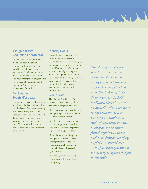#### **Assign a Waste Reduction Coordinator**

One individual should be assigned the role of Waste Reduction Coordinator for the event. This individual should have strong organizational and communication skills, a solid understanding of local area waste management programs and practices, and be committed to the goals of the Waste–Resource Management Committee.

#### **For Smaller Events/Festivals**

Community suppers, garden parties, weddings and other small gatherings can also benefit from event greening. Although you may not need to establish a committee, you still need the support of those involved to successfully reduce waste at your event. There may be less waste to manage at smaller events, but it still takes planning.

#### **Identify Goals**

One of the first activities of the Waste–Resource Management Committee is to identify overall goals and objectives for the greening of the event. What does the Committee hope to achieve by greening the event? It is important to include all stakeholders in devel-oping a policy to ensure that all needs are addressed. Goals might include financial, environmental, and political considerations.

#### **Sample Goals**

The Mahone Bay Wooden Boat Festival set the following goals as part of its event greening policy:

- Use education, reuse, recycling and composting to reduce the amount of waste sent for disposal.
- Ask food and beverage vendors to use compostable, reusable or recyclable containers, or provide appropriate supplies to them.
- Raise the awareness of organizers and participants about waste management issues and the establishment of a green event through displays, flyers and promotions.
- Provide a 3-stream waste station for compostables, recyclables, and garbage.

*The Mahone Bay Wooden Boat Festival is an annual celebration of the community's history of ship building that attracts thousands of visitors to the South Shore of Nova Scotia every year. In 2000, the Festival Committee hired an Event Greening Coordinator to help make the event as waste-free as possible. As a result of cooperation between municipal representatives, festival organizers, and the public, the Festival successfully recycled or composted over 80% of the waste generated at the event by using the principles in this guide.*

acity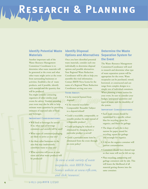# **Research & Planning**

#### **Identify Potential Waste Identify Disposal Materials**

Another important task of the Waste–Resource Management Committee/ Coordinator is to determine what waste materials will be generated at the event and what other waste might arrive at the event from surrounding businesses or activities. Establish a list of waste products, and if possible, identify each material and the quantity that will be produced.

You might consider contacting organizers of other similar-sized events for advice. Vendors attending your event may also be able to help estimate waste quantities by providing estimates of expected sales of food and beverages.

#### **Important Considerations:**

- Will food or beverages be served? If so, what type of beverage containers and utensils will be used?
- What types of containers/packaging are likely to arrive at your site?
- Are there other businesses in the area that may inadvertently contribute waste to your site?
- What activities will occur at your event and what waste products will be produced? *To view a wide variety of waste*

### **Options and Alternatives**

Once you have identified potential waste materials, consider each one individually to determine disposal options and possible alternatives. Your Regional Waste Reduction Coordinator will be able to help you assemble this vital information. Contact RRFB Nova Scotia for the name of a Regional Waste Reduction Coordinator serving your area.

#### **Think About:**

- Is the material banned from disposal?
- Is the material recyclable? Compostable? Reusable? Subject to a deposit/refund?
- Could a recyclable, compostable, or reusable product be used instead of a disposable product?
- Could packaging be reduced or eliminated by changing how a particular product is served?
- Could a particular waste item be eliminated from the event through an event policy?

#### **Determine the Waste Separation System for the Event**

The Waste–Resource Management Committee/Coordinator will need to research and determine what type of waste separation system will be appropriate for the event. Waste receptacles can be purchased, rented, borrowed, or constructed and can range from complex designs to a simple row of individual containers. When planning a waste station for your event, be sure to consider your budget, anticipated quantities and types of waste, and the durability of the system.

#### **IMPORTANT CONSIDERATIONS:**

- Each waste stream should be represented by a specific colour: blue for recycling, green for organics, and black for garbage.
- The shape of each slot is key: narrow for paper, round for recycling, square for garbage and rectangle for organics.
- A lid on the organics container will prevent contamination.
- Containers should have slanted tops so that waste will not be left on top.
- Place recycling, composting and garbage containers side by side. This will lessen the likelihood of all material getting thrown into the same container.

*Scotia's website at www.rrfb.com, and click 'resources'.*

*receptacles, visit RRFB Nova*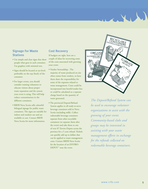#### **Signage For Waste Stations**

- Use simple and clear signs that show people what goes in each container. Use graphics with minimal text.
- Signs should be located at eye-level, preferably on the top (back) of the container.
- For larger events, you should consider training volunteers to educate visitors about proper waste separation and the system your event is using. This will help reduce contamination in the different containers.
- RRFB Nova Scotia sells colourful bilingual signage for public waste containers. The signs are suitable for indoor and outdoor use and are available at cost. Contact RRFB Nova Scotia for more information.

#### **Cost Recovery**

If budgets are tight, here are a couple of ideas for recovering some of the costs associated with greening your event.

- Vendor Stewardship The majority of waste produced on site often comes from vendors, so have them share the responsibility for some of the expenses related to waste management. Costs could be incorporated into booth/vendor fees or could be calculated as a separate charge based on the quantity of waste generated.
- The provincial Deposit/Refund System applies to all ready-to-serve beverage containers sold in Nova Scotia (excluding milk). Collect redeemable beverage containers separate from other recyclable containers (or separate them after the event) and take them to one of over 87 Enviro-Depots across the province for a 5 cent refund. Nickels can quickly add up to dollars that can be applied to waste management costs. Contact RRFB Nova Scotia for the location of an ENVIRO-DEPOT<sup>™</sup> near the event.



 $\mathbf{X}$ 

*The Deposit/Refund System can be used to encourage volunteer organizations to assist with the greening of your event. Community-based clubs and groups may be interested in assisting with your waste management efforts in exchange for the refunds collected on redeemable beverage containers.*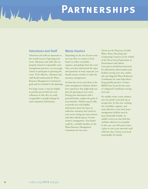## **PARTNERSHIPS**

#### **Volunteers and Staff**

 $\Delta L$ 

Volunteers and staff are important to the overall success of greening your event. Volunteers and staff, who are properly trained in responsible waste management practices, can encourage visitors to participate in greening the event. To be effective, volunteers and staff should understand the Waste-Resource Management Committee's goals and be included in the planning.

For larger events, it may be helpful to provide special shirts for your volunteers so that they are easily recognizable to people looking for waste separation information.

#### **Waste Haulers**

Depending on the size of your event, you may have to contract a local hauler to collect recyclables, organics, and garbage from the event. Once you have determined the types and quantities of waste expected, you should contact a hauler to make the necessary arrangements.

As front-line service providers in the waste management industry, haulers have experience that might help you plan the greening of your event. During your discussions with a potential hauler, explain the goals of your initiative. Haulers may be able to provide you with helpful information about the types of collection containers best suited to your event, setting up waste stations, and other related aspects of wasteresource management. Your hauler could be a valuable member on the Waste-Resource Management Committee for the event.

Check out the Directory of Solid Waste, Reuse, Recycling and Composting Contacts on the website of the Nova Scotia Department of Environment and Labour (*www.gov.ns.ca/enla/emc/wasteman*) for information about haulers and facilities serving your area, and/or ask your Regional Waste Reduction Coordinator for some help identifying possible partners. Contact RRFB Nova Scotia for the name of a Regional Coordinator serving your area.

For smaller events, waste volumes may not justify waste pick-up or storage bins. In this case, trucking the recyclables, organics, and waste directly to your local waste management facilities may be more financially feasible. At smaller events you may find that curbside collection is acceptable. In this case, you will need to have a place to store your materials until collection day. Contact your local municipality for details.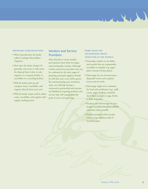#### **IMPORTANT CONSIDERATIONS**

- What materials does the hauler collect? Garbage? Recyclables? Organics?
- How does the hauler charge? (It generally costs more to take waste for disposal than it does to take organics to a compost facility, or recyclables to a recycling facility.)
- Will the hauler pick up and transport waste, recyclables, and organics directly from your site?
- Will the hauler empty and/or collect waste, recyclables, and organics after regular working hours?

#### **Vendors and Service Providers**

Most festivals or events include participation from food, beverages, and merchandise vendors. Although vendors and service providers may not be confirmed in the early stages of planning, potential suppliers should be told that your event will be green. By communicating your intentions early, you will help develop a constructive partnership and increase the likelihood of getting products and services that will complement the goals of your event greening.

#### **Some ideas for encouraging wastereduction at the source:**

 $\mathbf{X}$ 

- Encourage vendors to use dishes and utensils that are compostable, recyclable or reusable (e.g. paper plates instead of foam plates).
- Discourage the use of unnecessary disposable items such as plastic straws and stir sticks.
- Discourage single-serve containers for food and condiments (e.g., milk, cream, sugar, ketchup, mustard). Serve these products in jugs, bowls, or bulk dispensers.
- Purchase and sell beverages in storebought recyclable/refundable/refillable containers where possible.
- Purchase products with recycled content (e.g., napkins made of recycled paper).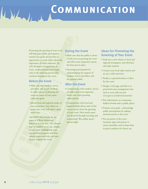**Communication**



Promoting the greening of your event will help gain public participation toward your goals and provide an opportunity to teach others about the importance of waste reduction. As with all aspects of organizing an event, communication must begin early in the planning process and continue throughout the event.

#### **Before the Event**

- Make sure that vendors, service providers, and people involved in other aspects of planning the event are aware of your waste reduction goals.
- Inform local and regional media of your intentions. Your efforts to green your event will make a great news story.

Call RRFB Nova Scotia for the name of a Waste Reduction Educator in your area. The educator may be available to set up a display at your event highlighting waste management programs and help visitors understand why you have chosen to green the event.

#### **During the Event**

- Make sure that the public is aware of why you are greening the event and what waste separation system has been put in place.
- Encourage participation by acknowledging the support of vendors, service providers, and the general public.

#### **After the Event**

- Communicate with vendors, service providers and event organizers about your event greening achievements.
- Communicate with local and regional media about some of the success stories from the greening of your event. How much waste was diverted through recycling and composting? Was public participation high?

#### **Ideas For Promoting the Greening of Your Event**

- Send out a news release to local and regional newspapers, and television and radio stations.
- Contact your local radio station and set up a radio interview.
- Produce a special brochure or flyer for the event.
- Design a web page and link it to provincial waste management sites such as *www.rrfb.com* and *www.gov.ns.ca/enla/emc/wasteman*
- Post information on community bulletin boards and at public places.
- Promote your goals acknowledge public participation by making announcements at the event.
- Put up posters at the event. Laminate signs and posters to ensure durability and to keep them in good condition for future use.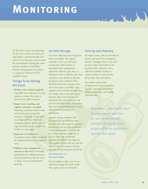## **MONITORING**

All the effort you put into planning for the event needs to be taken one step further – putting the plan into action! Try to develop a team to share the responsibilities during the event – perhaps members of the Waste-Resource Management Committee or a group of volunteers will be available to help.

#### **Things To Do During the Event**

- **Monitor waste stations regularly.** If possible, post volunteers at waste stations to ensure that waste is placed in the right receptacle.
- **Empty waste, recycling, and organics containers as needed.** Emptying containers may be easier and less disruptive if you line containers with bags. Check with your Regional Waste Reduction Coordinator about the the types of bags and liners that are accepted by facilities in your region.
- **Keep your event litter free.** Occasional sweeps of the site should be conducted for litter or misplaced waste.
- **Publicize waste management practices at the event.** Encourage participation by making announcements and advertise that the event is "green" on event promotional materials.

#### **On-Site Storage**

If you are collecting and storing your waste, recyclables, and organic materials on site, you will need storage bins. Some haulers or municipal waste management authorities will rent carts, bins, or dumpsters. Prior to delivery, the event committee must decide on the best location for the containers. They should be kept close enough to the site so that waste, recyclables, and organics can be transferred easily, but far enough away so that they don't interfere with event activities. It is important that your hauler has easy access to the bins so that, if necessary, they can be emptied during the event with minimal disturbance to participants.

Separate storage containers will be required for the different types of waste. Have the materials separated according to the recycling guidelines of your municipality. There should be at least one large storage bin or cart for every type of material (garbage, recyclables, and organics). The number of bins will vary with the type of event, the amount of waste expected, and the frequency of pick-up.

#### **Alternatives to Storage Bins:**

If your budget is tight, you can use alternative storage bins such as fish tubs, apple crates or steel barrels.

#### **Pick Up and Delivery**

artill

For larger events, pick-up and delivery services will need to be arranged in advance. Arrange to have event staff on-site to direct the hauler to the location of the containers. Set a collection schedule and have a contact number in case the bins fill up faster than anticipated.

For smaller events, make arrangements to have recyclables, organics, and waste transported off-site, if necessary, until regular collection day.

> *Remember – litter breeds litter! If waste stations and litter are not monitored and managed during the event, people will be less inclined to separate their waste.*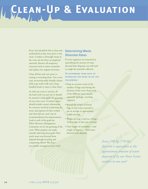# **Clean-Up & Evaluation**

Event sites should be left as clean and undisturbed as they were prior to the event. Conduct a thorough sweep of the event site for litter or misplaced materials. Remove all temporary structures such as waste receptacles and replace any original structures.

Clean all bins and carts prior to storing or returning them. Use a nontoxic environmentally friendly cleaner (dish soap works well) and a long handled brush or mop to clean them.

As with any event or activity, all the hard work you put into it should be assessed to help guide the greening of your next event. A written report should include contact information for everyone involved in planning the event, descriptions of what worked and what did not, and a list of recommendations for improvements. Look at each of the goals the Waste–Resource Management Committee set for the greening of the event. What progress was made towards achieving these goals? How much waste was diverted from disposal through recycling and composting efforts? Was litter successfully managed at your event?

#### **Determining Waste Diversion Rates**

If event organizers are interested in quantifying the amount of waste diverted from disposal, you will need to weigh the materials collected.

#### **To determine your rate of diversion you need to do thefollowing:**

- Keep an accurate count of the number of bags used during the duration of the event. Keep track of the different waste streams separately (garbage, recycling, organics).
- Record the weight of several bags of each waste material to get an average or approximate weight per bag.
- Weight per bag x total no. of bags = Total weight of that type of waste.
- Total weight of recyclables + total weight of organics = Total waste diverted from disposal.

*Every 350 kg (770 lbs) diverted is equivalent to the approximate amount of waste disposed of by one Nova Scotia resident in one year!*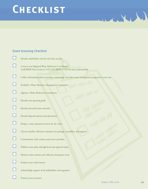### **CHECKLIST**

#### **Event Greening Checklist**

| Identify stakeholders and the role they can play                                                                           |
|----------------------------------------------------------------------------------------------------------------------------|
| Contact your Regional Waste Reduction Coordinator<br>(Call RRFB Nova Scotia at 1-877-313-RRFB (7732) for more information) |
| Collect information about recycling, composting, and other waste management programs in your area                          |
| Establish a Waste-Resource Management Committee                                                                            |
| Appoint a Waste Reduction Coordinator                                                                                      |
| Identify your greening goals                                                                                               |
| Identify potential waste materials                                                                                         |
| Identify disposal options and alternatives                                                                                 |
| Design a waste separation system for the event                                                                             |
| Choose suitable collection containers for garbage, recyclables, and organics                                               |
| Communicate with vendors and service providers                                                                             |
| Publicize your plans through local and regional media                                                                      |
| Monitor waste stations and collection during the event                                                                     |
| Evaluate your achievements                                                                                                 |
| Acknowledge support of all stakeholders and organizers                                                                     |
| Promote your successes.                                                                                                    |

WWW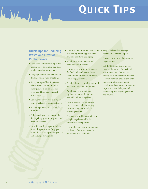## **Quick Tips**

#### **Quick Tips for Reducing Waste and Litter at Public Events**

William

- Keep signs and posters simple. Do not use logos or dates so that signs can be reused at future events.
- Use graphics with minimal text to illustrate where waste should go.
- Set up a drop-off box for eventrelated flyers, posters and other paper products, on or near the event site. Flyers can be reused or recycled.
- Use reusable dishes and cutlery or compostable paper plates and cups.
- Borrow equipment and materials if possible.
- Colour code your containers: blue for recycling, green for organics, and black for garbage.
- Use different slot shapes to indicate material types: narrow for paper, round for bottles, square for garbage and rectangle for organics.
- Limit the amount of potential waste at events by adopting purchasing practices that limit packaging.
- Avoid unnecessary services and production of materials.
- Discourage single-serve containers for food and condiments. Serve them in bulk dispensers, or bowls (milk, sugar, ketchup).
- Plan in advance: buy what you need and return what you do not use.
- Avoid materials, supplies or equipment that are hazardous, wasteful and non-recyclable.
- Recycle waste materials such as paper, plastic, and glass through curbside programs or at local recycling facilities.
- Purchase and sell beverages in storebought recyclable/refillable containers where possible.
- If possible, have your waste stations made out of recycled materials and/or constructed locally.
- Recycle redeemable beverage containers at Enviro-Depots.
- Donate leftover materials to other organizations.
- Call RRFB Nova Scotia for the name and number of a Regional Waste Reduction Coordinator serving your municipality. Regional Coordinators can provide you with important information about recycling and composting programs in your area and help you find composting and recycling facilities and haulers.